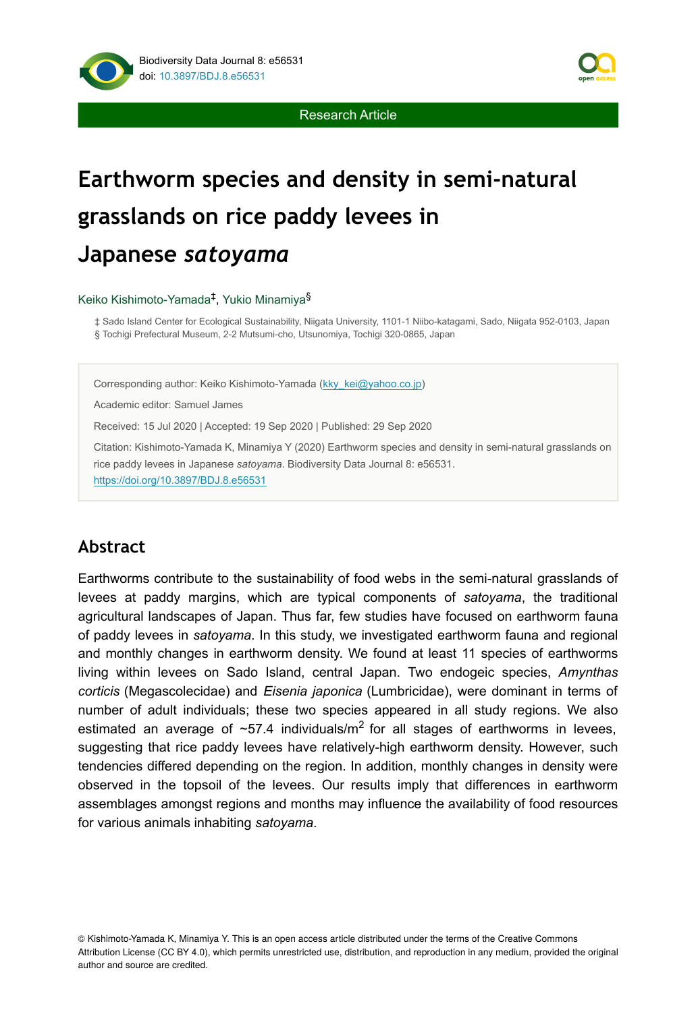

Research Article

# **Earthworm species and density in semi-natural grasslands on rice paddy levees in Japanese** *satoyama*

Keiko Kishimoto-Yamada<sup>‡</sup>, Yukio Minamiya<sup>§</sup>

‡ Sado Island Center for Ecological Sustainability, Niigata University, 1101-1 Niibo-katagami, Sado, Niigata 952-0103, Japan § Tochigi Prefectural Museum, 2-2 Mutsumi-cho, Utsunomiya, Tochigi 320-0865, Japan

Corresponding author: Keiko Kishimoto-Yamada ([kky\\_kei@yahoo.co.jp](mailto:kky_kei@yahoo.co.jp))

Academic editor: Samuel James

Received: 15 Jul 2020 | Accepted: 19 Sep 2020 | Published: 29 Sep 2020

Citation: Kishimoto-Yamada K, Minamiya Y (2020) Earthworm species and density in semi-natural grasslands on rice paddy levees in Japanese *satoyama*. Biodiversity Data Journal 8: e56531. <https://doi.org/10.3897/BDJ.8.e56531>

# **Abstract**

Earthworms contribute to the sustainability of food webs in the semi-natural grasslands of levees at paddy margins, which are typical components of *satoyama*, the traditional agricultural landscapes of Japan. Thus far, few studies have focused on earthworm fauna of paddy levees in *satoyama*. In this study, we investigated earthworm fauna and regional and monthly changes in earthworm density. We found at least 11 species of earthworms living within levees on Sado Island, central Japan. Two endogeic species, *Amynthas corticis* (Megascolecidae) and *Eisenia japonica* (Lumbricidae), were dominant in terms of number of adult individuals; these two species appeared in all study regions. We also estimated an average of  $\sim$ 57.4 individuals/m<sup>2</sup> for all stages of earthworms in levees, suggesting that rice paddy levees have relatively-high earthworm density. However, such tendencies differed depending on the region. In addition, monthly changes in density were observed in the topsoil of the levees. Our results imply that differences in earthworm assemblages amongst regions and months may influence the availability of food resources for various animals inhabiting *satoyama*.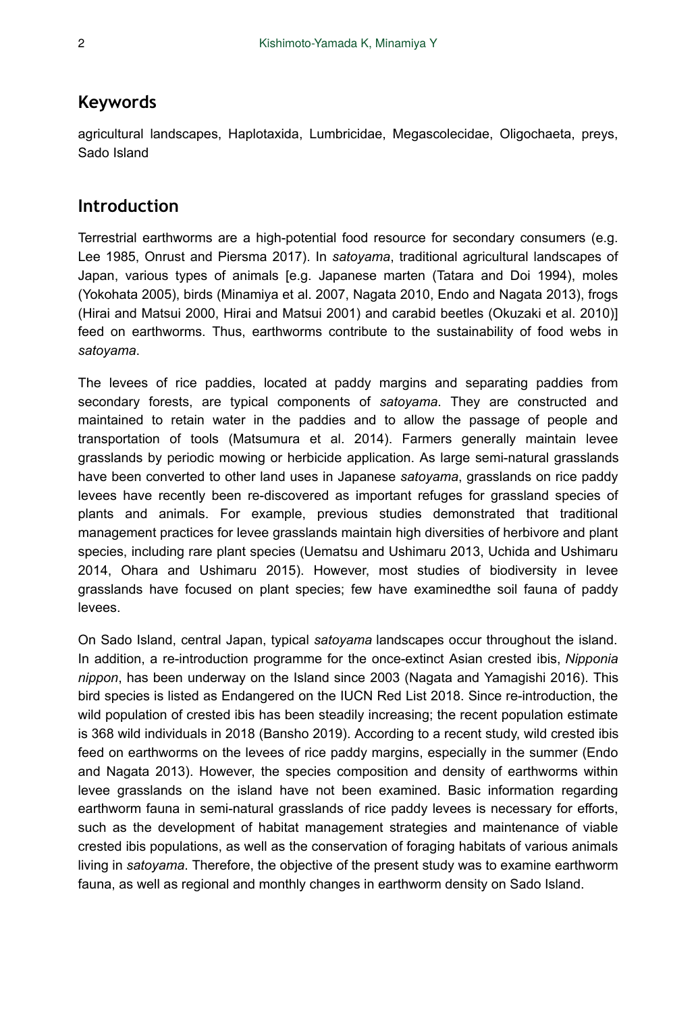## **Keywords**

agricultural landscapes, Haplotaxida, Lumbricidae, Megascolecidae, Oligochaeta, preys, Sado Island

## **Introduction**

Terrestrial earthworms are a high-potential food resource for secondary consumers (e.g. Lee 1985, Onrust and Piersma 2017). In *satoyama*, traditional agricultural landscapes of Japan, various types of animals [e.g. Japanese marten (Tatara and Doi 1994), moles (Yokohata 2005), birds (Minamiya et al. 2007, Nagata 2010, Endo and Nagata 2013), frogs (Hirai and Matsui 2000, Hirai and Matsui 2001) and carabid beetles (Okuzaki et al. 2010)] feed on earthworms. Thus, earthworms contribute to the sustainability of food webs in *satoyama*.

The levees of rice paddies, located at paddy margins and separating paddies from secondary forests, are typical components of *satoyama*. They are constructed and maintained to retain water in the paddies and to allow the passage of people and transportation of tools (Matsumura et al. 2014). Farmers generally maintain levee grasslands by periodic mowing or herbicide application. As large semi-natural grasslands have been converted to other land uses in Japanese *satoyama*, grasslands on rice paddy levees have recently been re-discovered as important refuges for grassland species of plants and animals. For example, previous studies demonstrated that traditional management practices for levee grasslands maintain high diversities of herbivore and plant species, including rare plant species (Uematsu and Ushimaru 2013, Uchida and Ushimaru 2014, Ohara and Ushimaru 2015). However, most studies of biodiversity in levee grasslands have focused on plant species; few have examinedthe soil fauna of paddy levees.

On Sado Island, central Japan, typical *satoyama* landscapes occur throughout the island. In addition, a re-introduction programme for the once-extinct Asian crested ibis, *Nipponia nippon*, has been underway on the Island since 2003 (Nagata and Yamagishi 2016). This bird species is listed as Endangered on the IUCN Red List 2018. Since re-introduction, the wild population of crested ibis has been steadily increasing; the recent population estimate is 368 wild individuals in 2018 (Bansho 2019). According to a recent study, wild crested ibis feed on earthworms on the levees of rice paddy margins, especially in the summer (Endo and Nagata 2013). However, the species composition and density of earthworms within levee grasslands on the island have not been examined. Basic information regarding earthworm fauna in semi-natural grasslands of rice paddy levees is necessary for efforts, such as the development of habitat management strategies and maintenance of viable crested ibis populations, as well as the conservation of foraging habitats of various animals living in *satoyama*. Therefore, the objective of the present study was to examine earthworm fauna, as well as regional and monthly changes in earthworm density on Sado Island.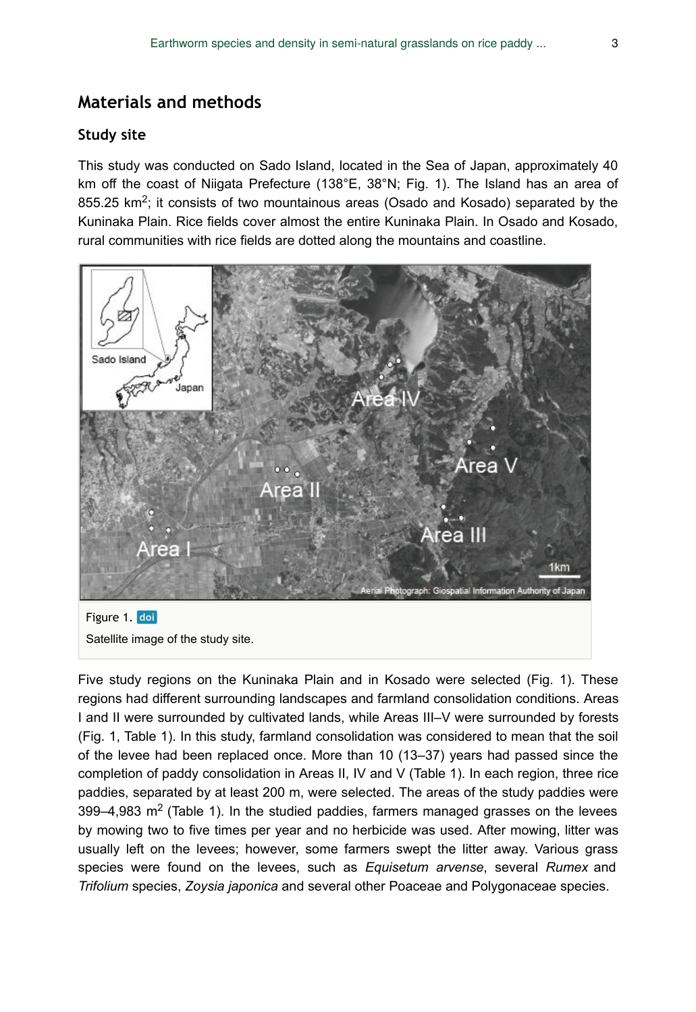# **Materials and methods**

#### **Study site**

This study was conducted on Sado Island, located in the Sea of Japan, approximately 40 km off the coast of Niigata Prefecture (138°E, 38°N; Fig. 1). The Island has an area of 855.25 km<sup>2</sup>; it consists of two mountainous areas (Osado and Kosado) separated by the Kuninaka Plain. Rice fields cover almost the entire Kuninaka Plain. In Osado and Kosado, rural communities with rice fields are dotted along the mountains and coastline.



Five study regions on the Kuninaka Plain and in Kosado were selected (Fig. 1). These regions had different surrounding landscapes and farmland consolidation conditions. Areas I and II were surrounded by cultivated lands, while Areas III–V were surrounded by forests (Fig. 1, Table 1). In this study, farmland consolidation was considered to mean that the soil of the levee had been replaced once. More than 10 (13–37) years had passed since the completion of paddy consolidation in Areas II, IV and V (Table 1). In each region, three rice paddies, separated by at least 200 m, were selected. The areas of the study paddies were 399–4,983 m<sup>2</sup> (Table 1). In the studied paddies, farmers managed grasses on the levees by mowing two to five times per year and no herbicide was used. After mowing, litter was usually left on the levees; however, some farmers swept the litter away. Various grass species were found on the levees, such as *Equisetum arvense*, several *Rumex* and *Trifolium* species, *Zoysia japonica* and several other Poaceae and Polygonaceae species.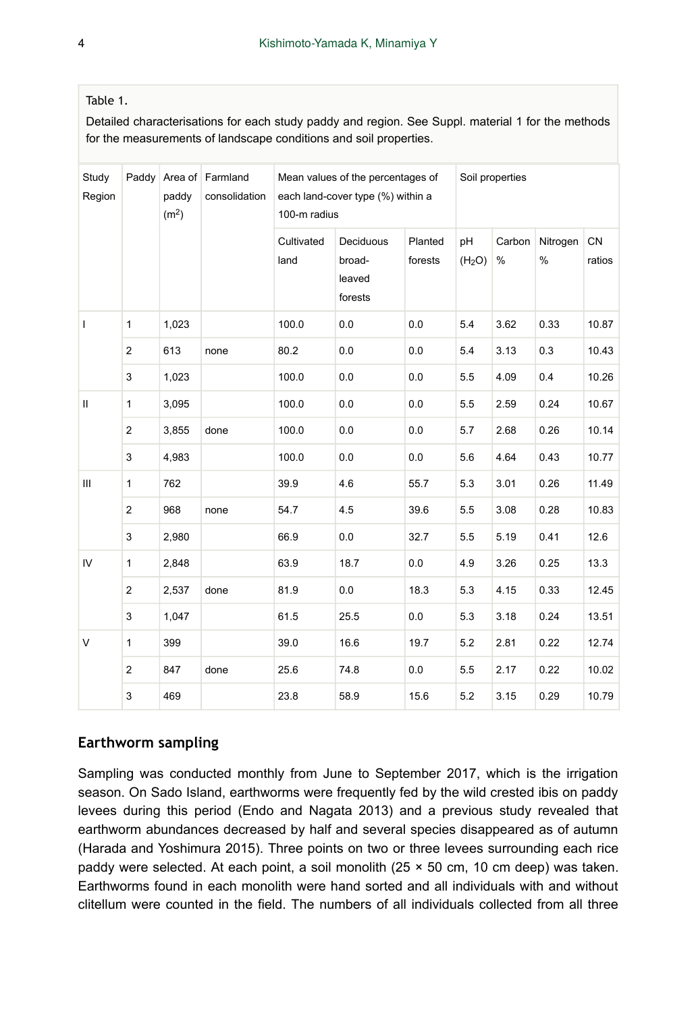#### Table 1.

Detailed characterisations for each study paddy and region. See Suppl. material 1 for the methods for the measurements of landscape conditions and soil properties.

| Study<br>Region |                | paddy<br>(m <sup>2</sup> ) | Paddy Area of Farmland<br>consolidation | Mean values of the percentages of<br>each land-cover type (%) within a<br>100-m radius |                                          |                    | Soil properties          |             |                  |                     |  |  |
|-----------------|----------------|----------------------------|-----------------------------------------|----------------------------------------------------------------------------------------|------------------------------------------|--------------------|--------------------------|-------------|------------------|---------------------|--|--|
|                 |                |                            |                                         | Cultivated<br>land                                                                     | Deciduous<br>broad-<br>leaved<br>forests | Planted<br>forests | pH<br>(H <sub>2</sub> O) | Carbon<br>% | Nitrogen<br>$\%$ | <b>CN</b><br>ratios |  |  |
| $\mathbf{I}$    | $\mathbf{1}$   | 1,023                      |                                         | 100.0                                                                                  | 0.0                                      | 0.0                | 5.4                      | 3.62        | 0.33             | 10.87               |  |  |
|                 | $\overline{c}$ | 613                        | none                                    | 80.2                                                                                   | 0.0                                      | 0.0                | 5.4                      | 3.13        | 0.3              | 10.43               |  |  |
|                 | 3              | 1,023                      |                                         | 100.0                                                                                  | 0.0                                      | 0.0                | 5.5                      | 4.09        | 0.4              | 10.26               |  |  |
| $\mathbf{II}$   | $\mathbf{1}$   | 3,095                      |                                         | 100.0                                                                                  | 0.0                                      | 0.0                | 5.5                      | 2.59        | 0.24             | 10.67               |  |  |
|                 | $\overline{2}$ | 3,855                      | done                                    | 100.0                                                                                  | 0.0                                      | 0.0                | 5.7                      | 2.68        | 0.26             | 10.14               |  |  |
|                 | 3              | 4,983                      |                                         | 100.0                                                                                  | 0.0                                      | 0.0                | 5.6                      | 4.64        | 0.43             | 10.77               |  |  |
| Ш               | $\mathbf{1}$   | 762                        |                                         | 39.9                                                                                   | 4.6                                      | 55.7               | 5.3                      | 3.01        | 0.26             | 11.49               |  |  |
|                 | 2              | 968                        | none                                    | 54.7                                                                                   | 4.5                                      | 39.6               | 5.5                      | 3.08        | 0.28             | 10.83               |  |  |
|                 | 3              | 2,980                      |                                         | 66.9                                                                                   | 0.0                                      | 32.7               | 5.5                      | 5.19        | 0.41             | 12.6                |  |  |
| IV              | $\mathbf{1}$   | 2,848                      |                                         | 63.9                                                                                   | 18.7                                     | 0.0                | 4.9                      | 3.26        | 0.25             | 13.3                |  |  |
|                 | $\overline{2}$ | 2,537                      | done                                    | 81.9                                                                                   | 0.0                                      | 18.3               | 5.3                      | 4.15        | 0.33             | 12.45               |  |  |
|                 | 3              | 1,047                      |                                         | 61.5                                                                                   | 25.5                                     | 0.0                | 5.3                      | 3.18        | 0.24             | 13.51               |  |  |
| V               | $\mathbf{1}$   | 399                        |                                         | 39.0                                                                                   | 16.6                                     | 19.7               | 5.2                      | 2.81        | 0.22             | 12.74               |  |  |
|                 | $\overline{2}$ | 847                        | done                                    | 25.6                                                                                   | 74.8                                     | 0.0                | 5.5                      | 2.17        | 0.22             | 10.02               |  |  |
|                 | 3              | 469                        |                                         | 23.8                                                                                   | 58.9                                     | 15.6               | 5.2                      | 3.15        | 0.29             | 10.79               |  |  |

#### **Earthworm sampling**

Sampling was conducted monthly from June to September 2017, which is the irrigation season. On Sado Island, earthworms were frequently fed by the wild crested ibis on paddy levees during this period (Endo and Nagata 2013) and a previous study revealed that earthworm abundances decreased by half and several species disappeared as of autumn (Harada and Yoshimura 2015). Three points on two or three levees surrounding each rice paddy were selected. At each point, a soil monolith (25 × 50 cm, 10 cm deep) was taken. Earthworms found in each monolith were hand sorted and all individuals with and without clitellum were counted in the field. The numbers of all individuals collected from all three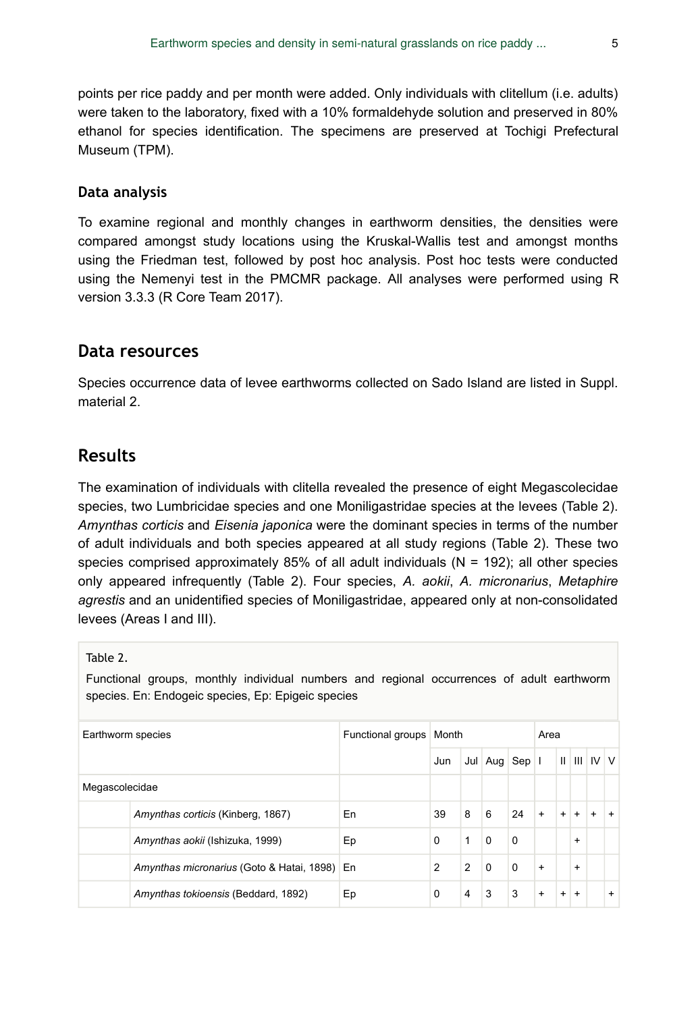points per rice paddy and per month were added. Only individuals with clitellum (i.e. adults) were taken to the laboratory, fixed with a 10% formaldehyde solution and preserved in 80% ethanol for species identification. The specimens are preserved at Tochigi Prefectural Museum (TPM).

#### **Data analysis**

To examine regional and monthly changes in earthworm densities, the densities were compared amongst study locations using the Kruskal-Wallis test and amongst months using the Friedman test, followed by post hoc analysis. Post hoc tests were conducted using the Nemenyi test in the PMCMR package. All analyses were performed using R version 3.3.3 (R Core Team 2017).

#### **Data resources**

Species occurrence data of levee earthworms collected on Sado Island are listed in Suppl. material 2.

### **Results**

The examination of individuals with clitella revealed the presence of eight Megascolecidae species, two Lumbricidae species and one Moniligastridae species at the levees (Table 2). *Amynthas corticis* and *Eisenia japonica* were the dominant species in terms of the number of adult individuals and both species appeared at all study regions (Table 2). These two species comprised approximately 85% of all adult individuals  $(N = 192)$ ; all other species only appeared infrequently (Table 2). Four species, *A. aokii*, *A. micronarius*, *Metaphire agrestis* and an unidentified species of Moniligastridae, appeared only at non-consolidated levees (Areas I and III).

Table 2.

Functional groups, monthly individual numbers and regional occurrences of adult earthworm species. En: Endogeic species, Ep: Epigeic species

| Earthworm species |                                              | Functional groups Month |                |   |               |          | Area      |           |           |                       |           |
|-------------------|----------------------------------------------|-------------------------|----------------|---|---------------|----------|-----------|-----------|-----------|-----------------------|-----------|
|                   |                                              |                         | Jun            |   | Jul Aug Sep I |          |           |           |           | $           $ $ V   $ |           |
| Megascolecidae    |                                              |                         |                |   |               |          |           |           |           |                       |           |
|                   | Amynthas corticis (Kinberg, 1867)            | En                      | 39             | 8 | 6             | 24       | $\ddot{}$ | $+$       | $+$       | $\ddot{}$             | $+$       |
|                   | Amynthas aokii (Ishizuka, 1999)              | Ep                      | $\Omega$       | 1 | $\Omega$      | $\Omega$ |           |           | $+$       |                       |           |
|                   | Amynthas micronarius (Goto & Hatai, 1898) En |                         | $\overline{2}$ | 2 | $\Omega$      | $\Omega$ | $+$       |           | $\ddot{}$ |                       |           |
|                   | Amynthas tokioensis (Beddard, 1892)          | Ep                      | $\Omega$       | 4 | 3             | 3        | $+$       | $\ddot{}$ | $+$       |                       | $\ddot{}$ |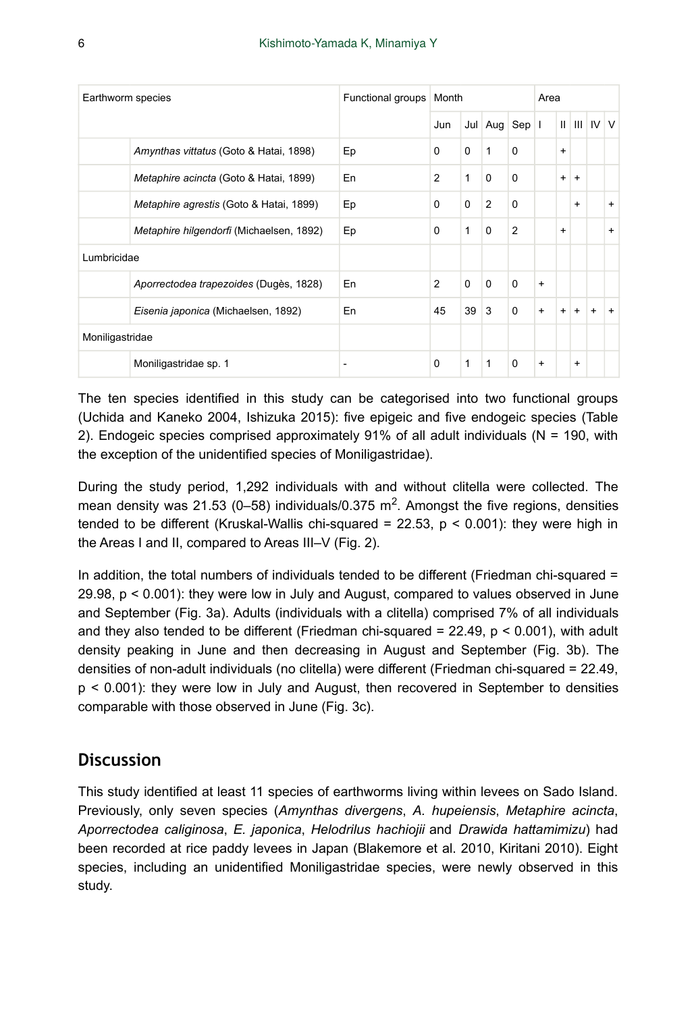| Earthworm species |                                          | Functional groups | Month          |              |               |                | Area      |           |           |                     |     |
|-------------------|------------------------------------------|-------------------|----------------|--------------|---------------|----------------|-----------|-----------|-----------|---------------------|-----|
|                   |                                          |                   | Jun            |              | Jul Aug Sep I |                |           |           |           | $II$ $III$ $IV$ $V$ |     |
|                   | Amynthas vittatus (Goto & Hatai, 1898)   | Ep                | $\Omega$       | $\Omega$     | $\mathbf{1}$  | $\Omega$       |           | $\ddot{}$ |           |                     |     |
|                   | Metaphire acincta (Goto & Hatai, 1899)   | En                | $\overline{2}$ | 1            | $\Omega$      | $\Omega$       |           | $+$       | $+$       |                     |     |
|                   | Metaphire agrestis (Goto & Hatai, 1899)  | Ep                | $\Omega$       | $\Omega$     | 2             | $\Omega$       |           |           | $+$       |                     | $+$ |
|                   | Metaphire hilgendorfi (Michaelsen, 1892) | Ep                | $\Omega$       | 1            | $\Omega$      | $\overline{2}$ |           | $\ddot{}$ |           |                     | $+$ |
| Lumbricidae       |                                          |                   |                |              |               |                |           |           |           |                     |     |
|                   | Aporrectodea trapezoides (Dugès, 1828)   | En                | $\overline{2}$ | $\Omega$     | $\Omega$      | $\Omega$       | $+$       |           |           |                     |     |
|                   | Eisenia japonica (Michaelsen, 1892)      | En                | 45             | 39           | 3             | $\Omega$       | $+$       | $+$       | $+$       | $\ddot{}$           | $+$ |
| Moniligastridae   |                                          |                   |                |              |               |                |           |           |           |                     |     |
|                   | Moniligastridae sp. 1                    | ۰                 | $\Omega$       | $\mathbf{1}$ | 1             | $\Omega$       | $\ddot{}$ |           | $\ddot{}$ |                     |     |

The ten species identified in this study can be categorised into two functional groups (Uchida and Kaneko 2004, Ishizuka 2015): five epigeic and five endogeic species (Table 2). Endogeic species comprised approximately 91% of all adult individuals (N = 190, with the exception of the unidentified species of Moniligastridae).

During the study period, 1,292 individuals with and without clitella were collected. The mean density was 21.53 (0-58) individuals/0.375 m<sup>2</sup>. Amongst the five regions, densities tended to be different (Kruskal-Wallis chi-squared =  $22.53$ ,  $p < 0.001$ ): they were high in the Areas I and II, compared to Areas III–V (Fig. 2).

In addition, the total numbers of individuals tended to be different (Friedman chi-squared = 29.98, p < 0.001): they were low in July and August, compared to values observed in June and September (Fig. 3a). Adults (individuals with a clitella) comprised 7% of all individuals and they also tended to be different (Friedman chi-squared =  $22.49$ ,  $p < 0.001$ ), with adult density peaking in June and then decreasing in August and September (Fig. 3b). The densities of non-adult individuals (no clitella) were different (Friedman chi-squared = 22.49, p < 0.001): they were low in July and August, then recovered in September to densities comparable with those observed in June (Fig. 3c).

## **Discussion**

This study identified at least 11 species of earthworms living within levees on Sado Island. Previously, only seven species (*Amynthas divergens*, *A. hupeiensis*, *Metaphire acincta*, *Aporrectodea caliginosa*, *E. japonica*, *Helodrilus hachiojii* and *Drawida hattamimizu*) had been recorded at rice paddy levees in Japan (Blakemore et al. 2010, Kiritani 2010). Eight species, including an unidentified Moniligastridae species, were newly observed in this study.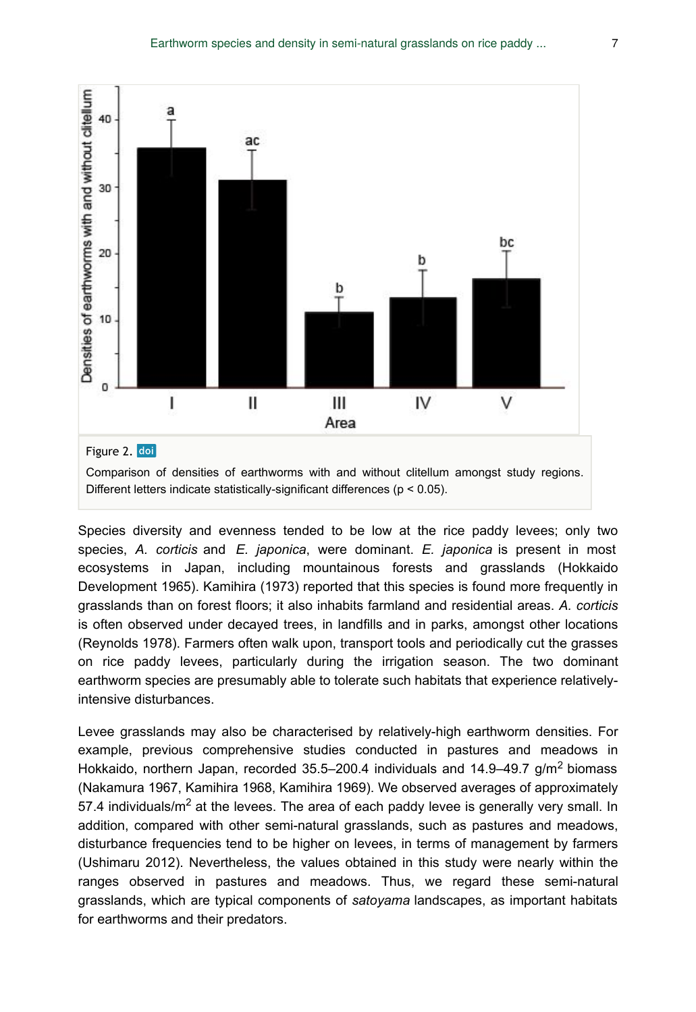

Species diversity and evenness tended to be low at the rice paddy levees; only two species, *A. corticis* and *E. japonica*, were dominant. *E. japonica* is present in most ecosystems in Japan, including mountainous forests and grasslands (Hokkaido Development 1965). Kamihira (1973) reported that this species is found more frequently in grasslands than on forest floors; it also inhabits farmland and residential areas. *A. corticis* is often observed under decayed trees, in landfills and in parks, amongst other locations (Reynolds 1978). Farmers often walk upon, transport tools and periodically cut the grasses on rice paddy levees, particularly during the irrigation season. The two dominant earthworm species are presumably able to tolerate such habitats that experience relativelyintensive disturbances.

Levee grasslands may also be characterised by relatively-high earthworm densities. For example, previous comprehensive studies conducted in pastures and meadows in Hokkaido, northern Japan, recorded 35.5–200.4 individuals and 14.9–49.7 g/m<sup>2</sup> biomass (Nakamura 1967, Kamihira 1968, Kamihira 1969). We observed averages of approximately 57.4 individuals/m<sup>2</sup> at the levees. The area of each paddy levee is generally very small. In addition, compared with other semi-natural grasslands, such as pastures and meadows, disturbance frequencies tend to be higher on levees, in terms of management by farmers (Ushimaru 2012). Nevertheless, the values obtained in this study were nearly within the ranges observed in pastures and meadows. Thus, we regard these semi-natural grasslands, which are typical components of *satoyama* landscapes, as important habitats for earthworms and their predators.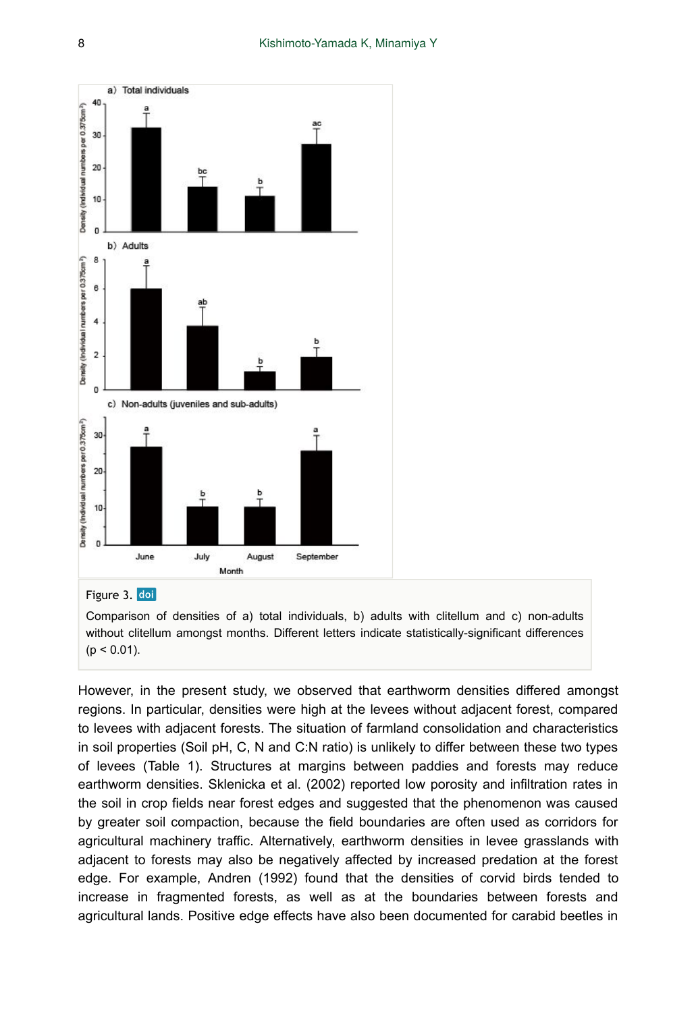

Figure 3. doi

Comparison of densities of a) total individuals, b) adults with clitellum and c) non-adults without clitellum amongst months. Different letters indicate statistically-significant differences  $(p < 0.01)$ .

However, in the present study, we observed that earthworm densities differed amongst regions. In particular, densities were high at the levees without adjacent forest, compared to levees with adjacent forests. The situation of farmland consolidation and characteristics in soil properties (Soil pH, C, N and C:N ratio) is unlikely to differ between these two types of levees (Table 1). Structures at margins between paddies and forests may reduce earthworm densities. Sklenicka et al. (2002) reported low porosity and infiltration rates in the soil in crop fields near forest edges and suggested that the phenomenon was caused by greater soil compaction, because the field boundaries are often used as corridors for agricultural machinery traffic. Alternatively, earthworm densities in levee grasslands with adjacent to forests may also be negatively affected by increased predation at the forest edge. For example, Andren (1992) found that the densities of corvid birds tended to increase in fragmented forests, as well as at the boundaries between forests and agricultural lands. Positive edge effects have also been documented for carabid beetles in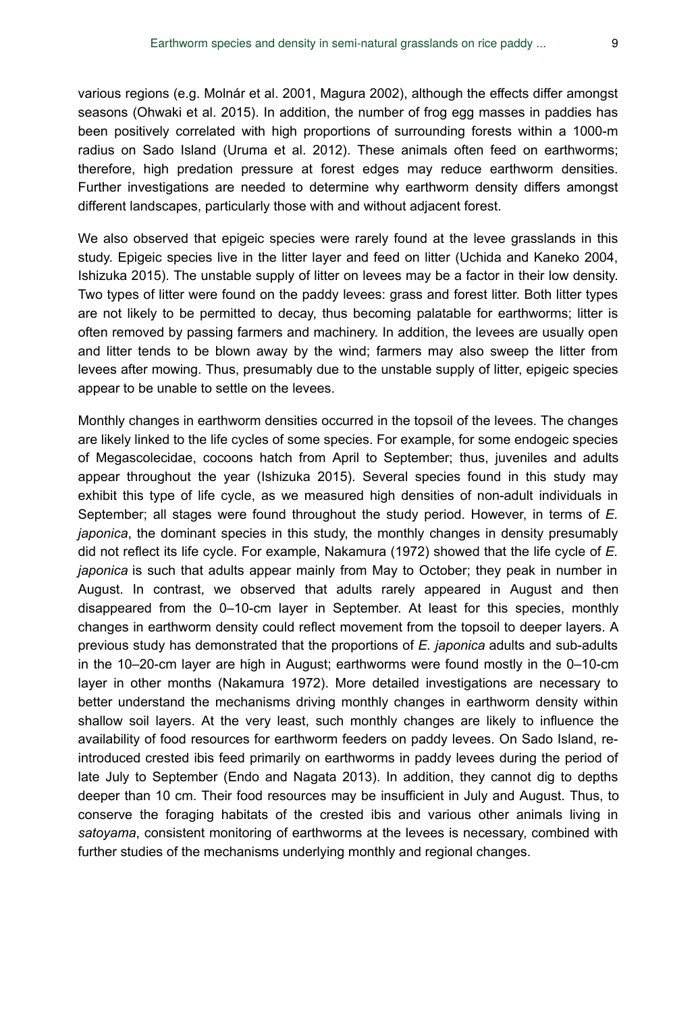various regions (e.g. Molnár et al. 2001, Magura 2002), although the effects differ amongst seasons (Ohwaki et al. 2015). In addition, the number of frog egg masses in paddies has been positively correlated with high proportions of surrounding forests within a 1000-m radius on Sado Island (Uruma et al. 2012). These animals often feed on earthworms; therefore, high predation pressure at forest edges may reduce earthworm densities. Further investigations are needed to determine why earthworm density differs amongst different landscapes, particularly those with and without adjacent forest.

We also observed that epigeic species were rarely found at the levee grasslands in this study. Epigeic species live in the litter layer and feed on litter (Uchida and Kaneko 2004, Ishizuka 2015). The unstable supply of litter on levees may be a factor in their low density. Two types of litter were found on the paddy levees: grass and forest litter. Both litter types are not likely to be permitted to decay, thus becoming palatable for earthworms; litter is often removed by passing farmers and machinery. In addition, the levees are usually open and litter tends to be blown away by the wind; farmers may also sweep the litter from levees after mowing. Thus, presumably due to the unstable supply of litter, epigeic species appear to be unable to settle on the levees.

Monthly changes in earthworm densities occurred in the topsoil of the levees. The changes are likely linked to the life cycles of some species. For example, for some endogeic species of Megascolecidae, cocoons hatch from April to September; thus, juveniles and adults appear throughout the year (Ishizuka 2015). Several species found in this study may exhibit this type of life cycle, as we measured high densities of non-adult individuals in September; all stages were found throughout the study period. However, in terms of *E. japonica*, the dominant species in this study, the monthly changes in density presumably did not reflect its life cycle. For example, Nakamura (1972) showed that the life cycle of *E. japonica* is such that adults appear mainly from May to October; they peak in number in August. In contrast, we observed that adults rarely appeared in August and then disappeared from the 0–10-cm layer in September. At least for this species, monthly changes in earthworm density could reflect movement from the topsoil to deeper layers. A previous study has demonstrated that the proportions of *E. japonica* adults and sub-adults in the 10–20-cm layer are high in August; earthworms were found mostly in the 0–10-cm layer in other months (Nakamura 1972). More detailed investigations are necessary to better understand the mechanisms driving monthly changes in earthworm density within shallow soil layers. At the very least, such monthly changes are likely to influence the availability of food resources for earthworm feeders on paddy levees. On Sado Island, reintroduced crested ibis feed primarily on earthworms in paddy levees during the period of late July to September (Endo and Nagata 2013). In addition, they cannot dig to depths deeper than 10 cm. Their food resources may be insufficient in July and August. Thus, to conserve the foraging habitats of the crested ibis and various other animals living in *satoyama*, consistent monitoring of earthworms at the levees is necessary, combined with further studies of the mechanisms underlying monthly and regional changes.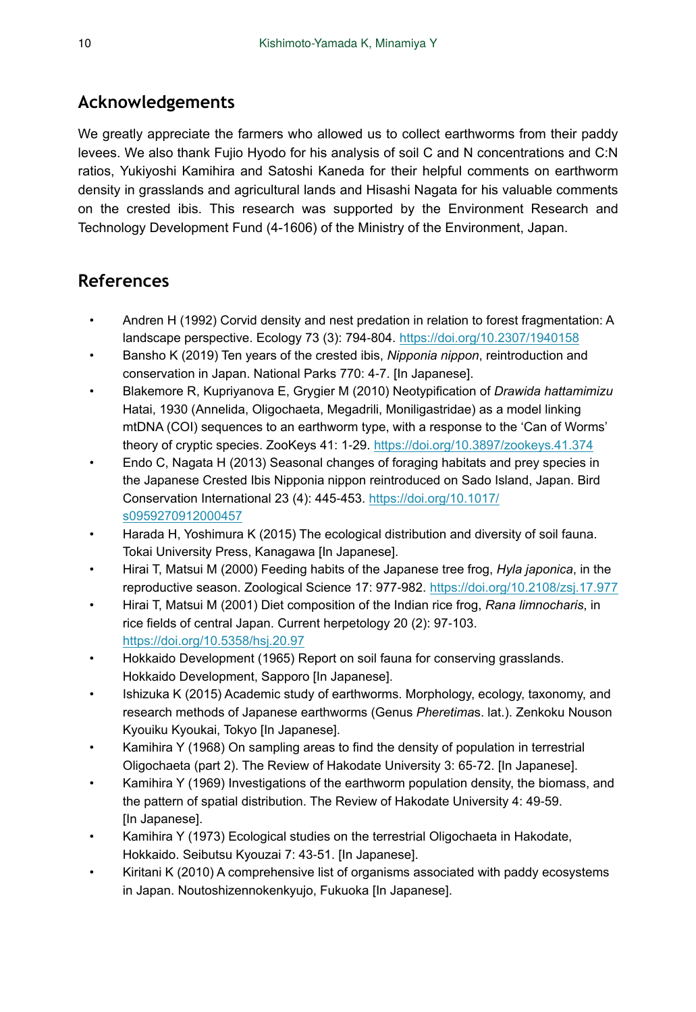# **Acknowledgements**

We greatly appreciate the farmers who allowed us to collect earthworms from their paddy levees. We also thank Fujio Hyodo for his analysis of soil C and N concentrations and C:N ratios, Yukiyoshi Kamihira and Satoshi Kaneda for their helpful comments on earthworm density in grasslands and agricultural lands and Hisashi Nagata for his valuable comments on the crested ibis. This research was supported by the Environment Research and Technology Development Fund (4-1606) of the Ministry of the Environment, Japan.

# **References**

- Andren H (1992) Corvid density and nest predation in relation to forest fragmentation: A landscape perspective. Ecology 73 (3): 794‑804.<https://doi.org/10.2307/1940158>
- Bansho K (2019) Ten years of the crested ibis, *Nipponia nippon*, reintroduction and conservation in Japan. National Parks 770: 4‑7. [In Japanese].
- Blakemore R, Kupriyanova E, Grygier M (2010) Neotypification of *Drawida hattamimizu* Hatai, 1930 (Annelida, Oligochaeta, Megadrili, Moniligastridae) as a model linking mtDNA (COI) sequences to an earthworm type, with a response to the 'Can of Worms' theory of cryptic species. ZooKeys 41: 1-29.<https://doi.org/10.3897/zookeys.41.374>
- Endo C, Nagata H (2013) Seasonal changes of foraging habitats and prey species in the Japanese Crested Ibis Nipponia nippon reintroduced on Sado Island, Japan. Bird Conservation International 23 (4): 445‑453. [https://doi.org/10.1017/](https://doi.org/10.1017/s0959270912000457) [s0959270912000457](https://doi.org/10.1017/s0959270912000457)
- Harada H, Yoshimura K (2015) The ecological distribution and diversity of soil fauna. Tokai University Press, Kanagawa [In Japanese].
- Hirai T, Matsui M (2000) Feeding habits of the Japanese tree frog, *Hyla japonica*, in the reproductive season. Zoological Science 17: 977‑982. <https://doi.org/10.2108/zsj.17.977>
- Hirai T, Matsui M (2001) Diet composition of the Indian rice frog, *Rana limnocharis*, in rice fields of central Japan. Current herpetology 20 (2): 97‑103. <https://doi.org/10.5358/hsj.20.97>
- Hokkaido Development (1965) Report on soil fauna for conserving grasslands. Hokkaido Development, Sapporo [In Japanese].
- Ishizuka K (2015) Academic study of earthworms. Morphology, ecology, taxonomy, and research methods of Japanese earthworms (Genus *Pheretima*s. lat.). Zenkoku Nouson Kyouiku Kyoukai, Tokyo [In Japanese].
- Kamihira Y (1968) On sampling areas to find the density of population in terrestrial Oligochaeta (part 2). The Review of Hakodate University 3: 65‑72. [In Japanese].
- Kamihira Y (1969) Investigations of the earthworm population density, the biomass, and the pattern of spatial distribution. The Review of Hakodate University 4: 49‑59. [In Japanese].
- Kamihira Y (1973) Ecological studies on the terrestrial Oligochaeta in Hakodate, Hokkaido. Seibutsu Kyouzai 7: 43‑51. [In Japanese].
- Kiritani K (2010) A comprehensive list of organisms associated with paddy ecosystems in Japan. Noutoshizennokenkyujo, Fukuoka [In Japanese].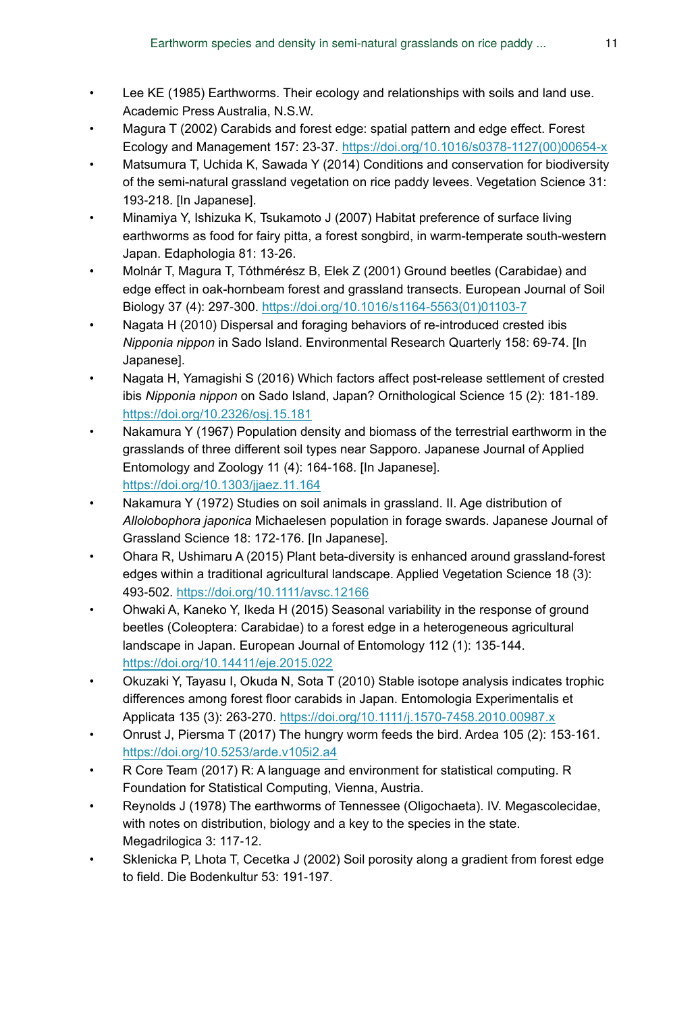- Lee KE (1985) Earthworms. Their ecology and relationships with soils and land use. Academic Press Australia, N.S.W.
- Magura T (2002) Carabids and forest edge: spatial pattern and edge effect. Forest Ecology and Management 157: 23‑37. [https://doi.org/10.1016/s0378-1127\(00\)00654-x](https://doi.org/10.1016/s0378-1127(00)00654-x)
- Matsumura T, Uchida K, Sawada Y (2014) Conditions and conservation for biodiversity of the semi-natural grassland vegetation on rice paddy levees. Vegetation Science 31: 193‑218. [In Japanese].
- Minamiya Y, Ishizuka K, Tsukamoto J (2007) Habitat preference of surface living earthworms as food for fairy pitta, a forest songbird, in warm-temperate south-western Japan. Edaphologia 81: 13‑26.
- Molnár T, Magura T, Tóthmérész B, Elek Z (2001) Ground beetles (Carabidae) and edge effect in oak-hornbeam forest and grassland transects. European Journal of Soil Biology 37 (4): 297-300. [https://doi.org/10.1016/s1164-5563\(01\)01103-7](https://doi.org/10.1016/s1164-5563(01)01103-7)
- Nagata H (2010) Dispersal and foraging behaviors of re-introduced crested ibis *Nipponia nippon* in Sado Island. Environmental Research Quarterly 158: 69‑74. [In Japanese].
- Nagata H, Yamagishi S (2016) Which factors affect post-release settlement of crested ibis *Nipponia nippon* on Sado Island, Japan? Ornithological Science 15 (2): 181‑189. <https://doi.org/10.2326/osj.15.181>
- Nakamura Y (1967) Population density and biomass of the terrestrial earthworm in the grasslands of three different soil types near Sapporo. Japanese Journal of Applied Entomology and Zoology 11 (4): 164‑168. [In Japanese]. <https://doi.org/10.1303/jjaez.11.164>
- Nakamura Y (1972) Studies on soil animals in grassland. II. Age distribution of *Allolobophora japonica* Michaelesen population in forage swards. Japanese Journal of Grassland Science 18: 172‑176. [In Japanese].
- Ohara R, Ushimaru A (2015) Plant beta-diversity is enhanced around grassland-forest edges within a traditional agricultural landscape. Applied Vegetation Science 18 (3): 493‑502. <https://doi.org/10.1111/avsc.12166>
- Ohwaki A, Kaneko Y, Ikeda H (2015) Seasonal variability in the response of ground beetles (Coleoptera: Carabidae) to a forest edge in a heterogeneous agricultural landscape in Japan. European Journal of Entomology 112 (1): 135-144. <https://doi.org/10.14411/eje.2015.022>
- Okuzaki Y, Tayasu I, Okuda N, Sota T (2010) Stable isotope analysis indicates trophic differences among forest floor carabids in Japan. Entomologia Experimentalis et Applicata 135 (3): 263‑270. <https://doi.org/10.1111/j.1570-7458.2010.00987.x>
- Onrust J, Piersma T (2017) The hungry worm feeds the bird. Ardea 105 (2): 153‑161. <https://doi.org/10.5253/arde.v105i2.a4>
- R Core Team (2017) R: A language and environment for statistical computing. R Foundation for Statistical Computing, Vienna, Austria.
- Reynolds J (1978) The earthworms of Tennessee (Oligochaeta). IV. Megascolecidae, with notes on distribution, biology and a key to the species in the state. Megadrilogica 3: 117‑12.
- Sklenicka P, Lhota T, Cecetka J (2002) Soil porosity along a gradient from forest edge to field. Die Bodenkultur 53: 191-197.